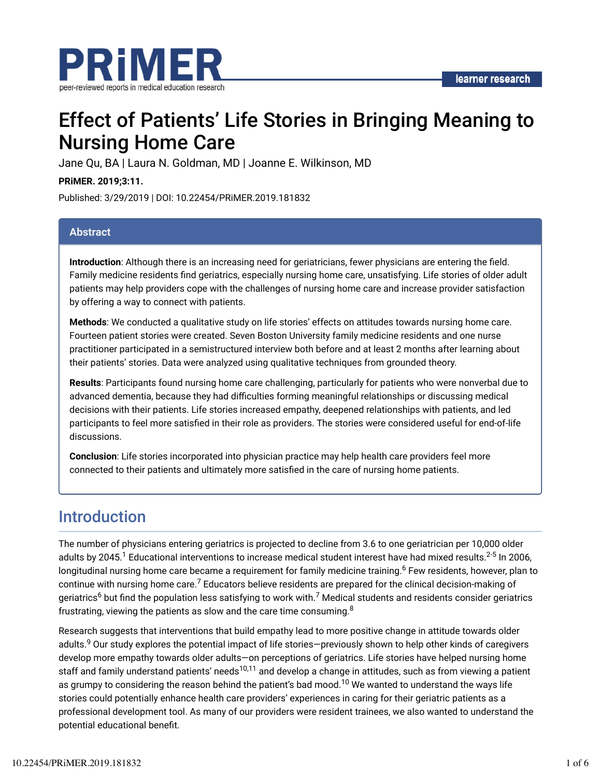

# Effect of Patients' Life Stories in Bringing Meaning to Nursing Home Care

Jane Qu, BA | Laura N. Goldman, MD | Joanne E. Wilkinson, MD

**PRiMER. 2019;3:11.**

Published: 3/29/2019 | DOI: 10.22454/PRiMER.2019.181832

#### **Abstract**

**Introduction**: Although there is an increasing need for geriatricians, fewer physicians are entering the field. Family medicine residents find geriatrics, especially nursing home care, unsatisfying. Life stories of older adult patients may help providers cope with the challenges of nursing home care and increase provider satisfaction by offering a way to connect with patients.

**Methods**: We conducted a qualitative study on life stories' effects on attitudes towards nursing home care. Fourteen patient stories were created. Seven Boston University family medicine residents and one nurse practitioner participated in a semistructured interview both before and at least 2 months after learning about their patients' stories. Data were analyzed using qualitative techniques from grounded theory.

**Results**: Participants found nursing home care challenging, particularly for patients who were nonverbal due to advanced dementia, because they had difficulties forming meaningful relationships or discussing medical decisions with their patients. Life stories increased empathy, deepened relationships with patients, and led participants to feel more satisfied in their role as providers. The stories were considered useful for end-of-life discussions.

**Conclusion**: Life stories incorporated into physician practice may help health care providers feel more connected to their patients and ultimately more satisfied in the care of nursing home patients.

### Introduction

The number of physicians entering geriatrics is projected to decline from 3.6 to one geriatrician per 10,000 older adults by 2045. $^1$  Educational interventions to increase medical student interest have had mixed results. $^{2\text{-}5}$  In 2006, longitudinal nursing home care became a requirement for family medicine training.<sup>6</sup> Few residents, however, plan to continue with nursing home care. $^7$  Educators believe residents are prepared for the clinical decision-making of geriatrics<sup>6</sup> but find the population less satisfying to work with.<sup>7</sup> Medical students and residents consider geriatrics frustrating, viewing the patients as slow and the care time consuming. $^{\rm 8}$ 

Research suggests that interventions that build empathy lead to more positive change in attitude towards older adults.<sup>9</sup> Our study explores the potential impact of life stories—previously shown to help other kinds of caregivers develop more empathy towards older adults—on perceptions of geriatrics. Life stories have helped nursing home staff and family understand patients' needs<sup>10,11</sup> and develop a change in attitudes, such as from viewing a patient as grumpy to considering the reason behind the patient's bad mood. $^{10}$  We wanted to understand the ways life stories could potentially enhance health care providers' experiences in caring for their geriatric patients as a professional development tool. As many of our providers were resident trainees, we also wanted to understand the potential educational benefit.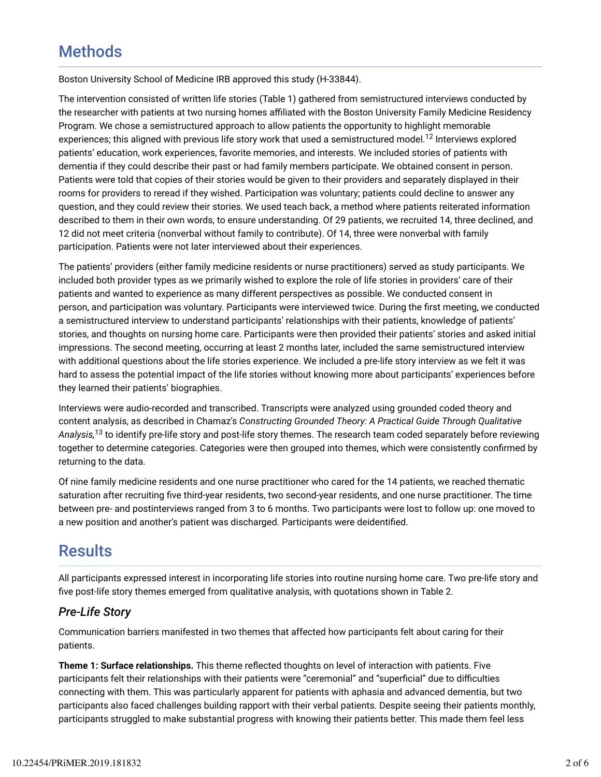## **Methods**

Boston University School of Medicine IRB approved this study (H-33844).

The intervention consisted of written life stories (Table 1) gathered from semistructured interviews conducted by the researcher with patients at two nursing homes affiliated with the Boston University Family Medicine Residency Program. We chose a semistructured approach to allow patients the opportunity to highlight memorable experiences; this aligned with previous life story work that used a semistructured model.<sup>12</sup> Interviews explored patients' education, work experiences, favorite memories, and interests. We included stories of patients with dementia if they could describe their past or had family members participate. We obtained consent in person. Patients were told that copies of their stories would be given to their providers and separately displayed in their rooms for providers to reread if they wished. Participation was voluntary; patients could decline to answer any question, and they could review their stories. We used teach back, a method where patients reiterated information described to them in their own words, to ensure understanding. Of 29 patients, we recruited 14, three declined, and 12 did not meet criteria (nonverbal without family to contribute). Of 14, three were nonverbal with family participation. Patients were not later interviewed about their experiences.

The patients' providers (either family medicine residents or nurse practitioners) served as study participants. We included both provider types as we primarily wished to explore the role of life stories in providers' care of their patients and wanted to experience as many different perspectives as possible. We conducted consent in person, and participation was voluntary. Participants were interviewed twice. During the first meeting, we conducted a semistructured interview to understand participants' relationships with their patients, knowledge of patients' stories, and thoughts on nursing home care. Participants were then provided their patients' stories and asked initial impressions. The second meeting, occurring at least 2 months later, included the same semistructured interview with additional questions about the life stories experience. We included a pre-life story interview as we felt it was hard to assess the potential impact of the life stories without knowing more about participants' experiences before they learned their patients' biographies.

Interviews were audio-recorded and transcribed. Transcripts were analyzed using grounded coded theory and content analysis, as described in Chamaz's *Constructing Grounded Theory: A Practical Guide Through Qualitative* A*nalysis,*<sup>13</sup> to identify pre-life story and post-life story themes. The research team coded separately before reviewing together to determine categories. Categories were then grouped into themes, which were consistently confirmed by returning to the data.

Of nine family medicine residents and one nurse practitioner who cared for the 14 patients, we reached thematic saturation after recruiting five third-year residents, two second-year residents, and one nurse practitioner. The time between pre- and postinterviews ranged from 3 to 6 months. Two participants were lost to follow up: one moved to a new position and another's patient was discharged. Participants were deidentified.

## **Results**

All participants expressed interest in incorporating life stories into routine nursing home care. Two pre-life story and five post-life story themes emerged from qualitative analysis, with quotations shown in Table 2.

### *Pre-Life Story*

Communication barriers manifested in two themes that affected how participants felt about caring for their patients.

**Theme 1: Surface relationships.** This theme reflected thoughts on level of interaction with patients. Five participants felt their relationships with their patients were "ceremonial" and "superficial" due to difficulties connecting with them. This was particularly apparent for patients with aphasia and advanced dementia, but two participants also faced challenges building rapport with their verbal patients. Despite seeing their patients monthly, participants struggled to make substantial progress with knowing their patients better. This made them feel less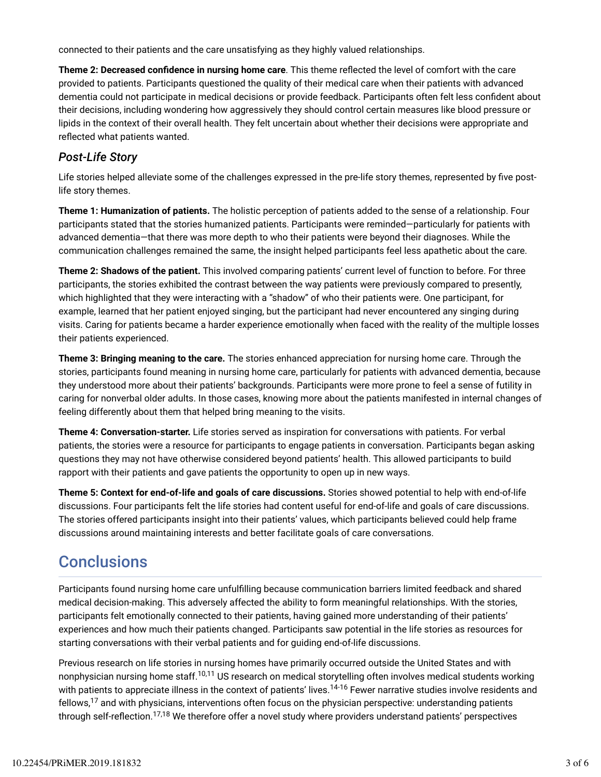connected to their patients and the care unsatisfying as they highly valued relationships.

**Theme 2: Decreased confidence in nursing home care**. This theme reflected the level of comfort with the care provided to patients. Participants questioned the quality of their medical care when their patients with advanced dementia could not participate in medical decisions or provide feedback. Participants often felt less confident about their decisions, including wondering how aggressively they should control certain measures like blood pressure or lipids in the context of their overall health. They felt uncertain about whether their decisions were appropriate and reflected what patients wanted.

### *Post-Life Story*

Life stories helped alleviate some of the challenges expressed in the pre-life story themes, represented by five postlife story themes.

**Theme 1: Humanization of patients.** The holistic perception of patients added to the sense of a relationship. Four participants stated that the stories humanized patients. Participants were reminded—particularly for patients with advanced dementia—that there was more depth to who their patients were beyond their diagnoses. While the communication challenges remained the same, the insight helped participants feel less apathetic about the care.

**Theme 2: Shadows of the patient.** This involved comparing patients' current level of function to before. For three participants, the stories exhibited the contrast between the way patients were previously compared to presently, which highlighted that they were interacting with a "shadow" of who their patients were. One participant, for example, learned that her patient enjoyed singing, but the participant had never encountered any singing during visits. Caring for patients became a harder experience emotionally when faced with the reality of the multiple losses their patients experienced.

**Theme 3: Bringing meaning to the care.** The stories enhanced appreciation for nursing home care. Through the stories, participants found meaning in nursing home care, particularly for patients with advanced dementia, because they understood more about their patients' backgrounds. Participants were more prone to feel a sense of futility in caring for nonverbal older adults. In those cases, knowing more about the patients manifested in internal changes of feeling differently about them that helped bring meaning to the visits.

**Theme 4: Conversation-starter.** Life stories served as inspiration for conversations with patients. For verbal patients, the stories were a resource for participants to engage patients in conversation. Participants began asking questions they may not have otherwise considered beyond patients' health. This allowed participants to build rapport with their patients and gave patients the opportunity to open up in new ways.

**Theme 5: Context for end-of-life and goals of care discussions.** Stories showed potential to help with end-of-life discussions. Four participants felt the life stories had content useful for end-of-life and goals of care discussions. The stories offered participants insight into their patients' values, which participants believed could help frame discussions around maintaining interests and better facilitate goals of care conversations.

## **Conclusions**

Participants found nursing home care unfulfilling because communication barriers limited feedback and shared medical decision-making. This adversely affected the ability to form meaningful relationships. With the stories, participants felt emotionally connected to their patients, having gained more understanding of their patients' experiences and how much their patients changed. Participants saw potential in the life stories as resources for starting conversations with their verbal patients and for guiding end-of-life discussions.

Previous research on life stories in nursing homes have primarily occurred outside the United States and with nonphysician nursing home staff.<sup>10,11</sup> US research on medical storytelling often involves medical students working with patients to appreciate illness in the context of patients' lives.<sup>14-16</sup> Fewer narrative studies involve residents and fellows, $^{17}$  and with physicians, interventions often focus on the physician perspective: understanding patients through self-reflection.<sup>17,18</sup> We therefore offer a novel study where providers understand patients' perspectives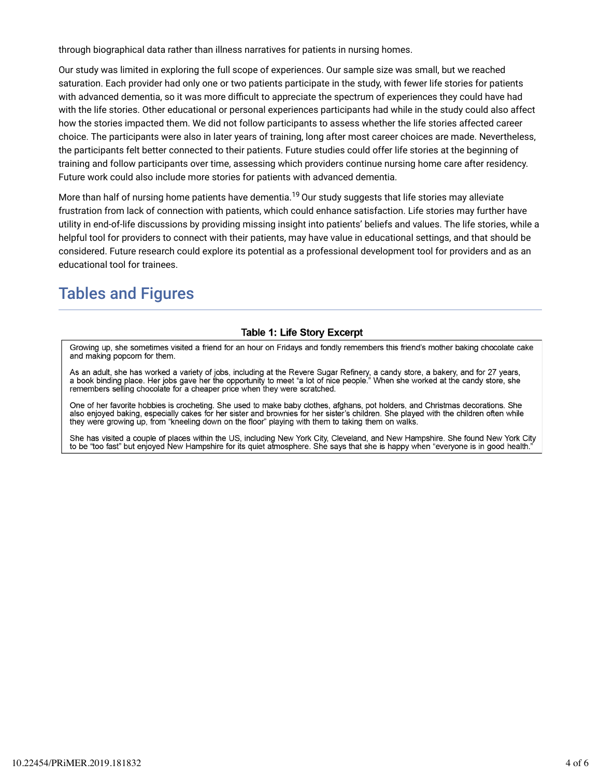through biographical data rather than illness narratives for patients in nursing homes.

Our study was limited in exploring the full scope of experiences. Our sample size was small, but we reached saturation. Each provider had only one or two patients participate in the study, with fewer life stories for patients with advanced dementia, so it was more difficult to appreciate the spectrum of experiences they could have had with the life stories. Other educational or personal experiences participants had while in the study could also affect how the stories impacted them. We did not follow participants to assess whether the life stories affected career choice. The participants were also in later years of training, long after most career choices are made. Nevertheless, the participants felt better connected to their patients. Future studies could offer life stories at the beginning of training and follow participants over time, assessing which providers continue nursing home care after residency. Future work could also include more stories for patients with advanced dementia.

More than half of nursing home patients have dementia. $^{19}$  Our study suggests that life stories may alleviate frustration from lack of connection with patients, which could enhance satisfaction. Life stories may further have utility in end-of-life discussions by providing missing insight into patients' beliefs and values. The life stories, while a helpful tool for providers to connect with their patients, may have value in educational settings, and that should be considered. Future research could explore its potential as a professional development tool for providers and as an educational tool for trainees.

## Tables and Figures

#### **Table 1: Life Story Excerpt**

Growing up, she sometimes visited a friend for an hour on Fridays and fondly remembers this friend's mother baking chocolate cake and making popcorn for them.

As an adult, she has worked a variety of jobs, including at the Revere Sugar Refinery, a candy store, a bakery, and for 27 years, a book binding place. Her jobs gave her the opportunity to meet "a lot of nice people." When she worked at the candy store, she remembers selling chocolate for a cheaper price when they were scratched.

One of her favorite hobbies is crocheting. She used to make baby clothes, afghans, pot holders, and Christmas decorations. She also enjoyed baking, especially cakes for her sister and brownies for her sister's children. She played with the children often while they were growing up, from "kneeling down on the floor" playing with them to taking them on walks.

She has visited a couple of places within the US, including New York City, Cleveland, and New Hampshire. She found New York City to be "too fast" but enjoyed New Hampshire for its quiet atmosphere. She says that she is happy when "everyone is in good health.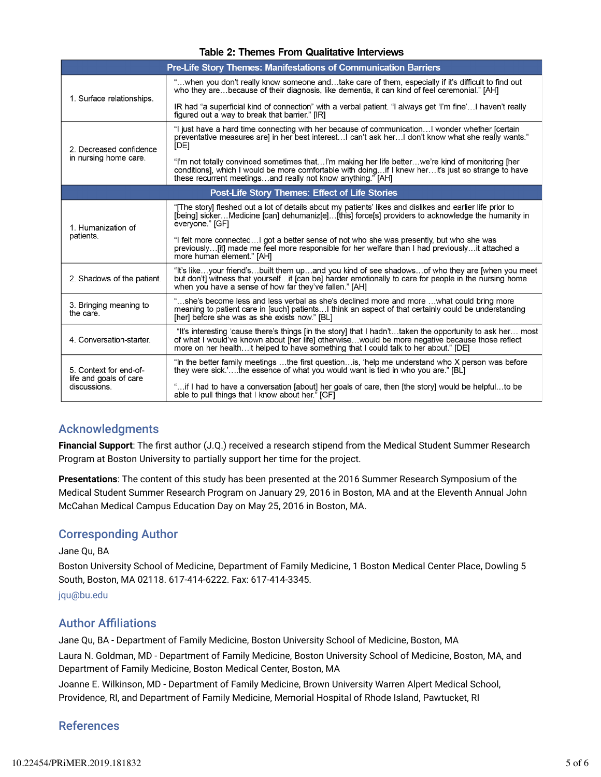| <b>Pre-Life Story Themes: Manifestations of Communication Barriers</b> |                                                                                                                                                                                                                                                                                                     |
|------------------------------------------------------------------------|-----------------------------------------------------------------------------------------------------------------------------------------------------------------------------------------------------------------------------------------------------------------------------------------------------|
| 1. Surface relationships.                                              | "when you don't really know someone andtake care of them, especially if it's difficult to find out<br>who they arebecause of their diagnosis, like dementia, it can kind of feel ceremonial." [AH]                                                                                                  |
|                                                                        | IR had "a superficial kind of connection" with a verbal patient. "I always get 'I'm fine' I haven't really<br>figured out a way to break that barrier." [IR]                                                                                                                                        |
| 2. Decreased confidence<br>in nursing home care.                       | "I just have a hard time connecting with her because of communicationI wonder whether [certain<br>preventative measures are] in her best interest I can't ask her I don't know what she really wants."<br><b>IDEI</b>                                                                               |
|                                                                        | "I'm not totally convinced sometimes thatI'm making her life betterwe're kind of monitoring [her<br>conditions], which I would be more comfortable with doingif I knew herit's just so strange to have<br>these recurrent meetingsand really not know anything." [AH]                               |
| <b>Post-Life Story Themes: Effect of Life Stories</b>                  |                                                                                                                                                                                                                                                                                                     |
| 1. Humanization of<br>patients.                                        | "[The story] fleshed out a lot of details about my patients' likes and dislikes and earlier life prior to<br>[being] sickerMedicine [can] dehumaniz[e][this] force[s] providers to acknowledge the humanity in<br>everyone." [GF]                                                                   |
|                                                                        | "I felt more connectedI got a better sense of not who she was presently, but who she was<br>previously[it] made me feel more responsible for her welfare than I had previouslyit attached a<br>more human element." [AH]                                                                            |
| 2. Shadows of the patient.                                             | "It's likeyour friend'sbuilt them upand you kind of see shadowsof who they are [when you meet<br>but don't] witness that yourselfit [can be] harder emotionally to care for people in the nursing home<br>when you have a sense of how far they've fallen." [AH]                                    |
| 3. Bringing meaning to<br>the care.                                    | "she's become less and less verbal as she's declined more and more what could bring more<br>meaning to patient care in [such] patients I think an aspect of that certainly could be understanding<br>[her] before she was as she exists now." [BL]                                                  |
| 4. Conversation-starter.                                               | "It's interesting 'cause there's things [in the story] that I hadn'ttaken the opportunity to ask her most<br>of what I would've known about [her life] otherwisewould be more negative because those reflect<br>more on her healthit helped to have something that I could talk to her about." [DE] |
| 5. Context for end-of-<br>life and goals of care<br>discussions.       | "In the better family meetings the first questionis, 'help me understand who X person was before<br>they were sick.'the essence of what you would want is tied in who you are." [BL]                                                                                                                |
|                                                                        | iif I had to have a conversation [about] her goals of care, then [the story] would be helpfulto be<br>able to pull things that I know about her." [GF]                                                                                                                                              |

#### Table 2: Themes From Qualitative Interviews

### Acknowledgments

**Financial Support**: The first author (J.Q.) received a research stipend from the Medical Student Summer Research Program at Boston University to partially support her time for the project.

**Presentations**: The content of this study has been presented at the 2016 Summer Research Symposium of the Medical Student Summer Research Program on January 29, 2016 in Boston, MA and at the Eleventh Annual John McCahan Medical Campus Education Day on May 25, 2016 in Boston, MA.

### Corresponding Author

#### Jane Qu, BA

Boston University School of Medicine, Department of Family Medicine, 1 Boston Medical Center Place, Dowling 5 South, Boston, MA 02118. 617-414-6222. Fax: 617-414-3345.

jqu@bu.edu

### **Author Affiliations**

Jane Qu, BA - Department of Family Medicine, Boston University School of Medicine, Boston, MA

Laura N. Goldman, MD - Department of Family Medicine, Boston University School of Medicine, Boston, MA, and Department of Family Medicine, Boston Medical Center, Boston, MA

Joanne E. Wilkinson, MD - Department of Family Medicine, Brown University Warren Alpert Medical School, Providence, RI, and Department of Family Medicine, Memorial Hospital of Rhode Island, Pawtucket, RI

### References